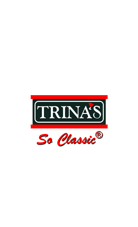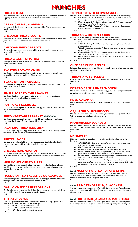# **MUNCHIES**

# **FRIED CHEESE**

Hand made and golden fried to perfection with your choice of mozzarella, cheddar or pepper jack cheeses, served with side of buttermilk ranch and marinara sauce. 3.95

# **CREAM CHEESE JALAPENOS**

Jalapenos stuffed with cream cheese, battered and golden fried to perfection, served with buttermilk ranch. 3.95

# **CHEDDAR FRIED BISCUITS**

Fresh homemade biscuits, battered and golden fried with graded cheddar cheese and garlic salt and aioli. Served as crispy slices with buttermilk ranch. 4.95

#### **CHEDDAR FRIED CARROTS**

Our crunch, carrot sticks battered and golden fried with graded cheddar cheese, served with buttermilk ranch. 4.95

### **FRIED GREEN TOMATOES**

Fresh green tomato slices battered and golden fried to perfection, served with our creamy remoulade sauce. 5.25

# **TWISTED POTATO CHIPS**

Our fresh twisted cut potato chips, served with our homemade buttermilk ranch, creamy bleu cheese ranch and honey Dijon sauces. 4.95

### **TEXAS ONION TANGLERS**

Our fresh onion strings hand-battered, golden fried, and seasoned with Texas spices, served with buttermilk ranch. 4.25

# **SIMPLE POTATO CHIPS BASKET**

Our fresh, sliced thin potato chips, fried and served with our homemade spicy ketchup sauce, just simple without any toppings. 2.95

#### **POT ROAST EGGROLLS**

Our braised fall-a-part pot roast stuffed into our eggrolls, deep fried and served with side of our rich brown gravy. 4.95

# **FRIED VEGETABLES BASKET** *Half Order!*

Our fresh cut carrots, zucchini, mushrooms and broccoli, all battered and golden fried, served with honey Dijon and buttermilk ranch sauces. 3.95

#### **JALAPENO TRINATENDERS®**

Our classic legendary and crispy golden fried chicken tenders with minced jalapenos in the batter, served with our spicy chipotle honey sauce. 5.15

#### **PRETZEL DOGS**

Our beef juicy franks rolled into our homemade pretzel dough, baked and garlic buttered, then served with our spicy chipotle honey sauce. 4.25

# **CHEESESTEAK NACHOS**

Our creamy Philly cheese sauce poured over our fresh made tortilla chips with shaved rib-eyed steak and sauteed bell peppers and onions, served with our marinara salsa. 5.25

# **MINI MONTE CRISTO BITES**

Our hand battered and golden fried sandwich made with sliced turkey and honey cured ham with Swiss and cheddar cheeses, dusted with powdered sugar and served with raspberry preserves. 7.15

# **HANDCRAFTED TABLESIDE GUACAMOLE**

Fresh bowl of guacamole handcrafted at your table, serving your choice of different toppings, served with fresh homemade baked tortilla chips. 3.95

# **GARLIC CHEDDAR BREADSTICKS**

Our fresh homemade rolled breadsticks baked with cheddar cheese and garlic butter, served with buttermilk ranch and sour cream for dipping. 3.25

#### **TRINATENDERS®**

Crispy and golden fried chicken tenders served with side of honey Dijon sauce or make it sauced with your choice of the following;<br> $\overline{rs}$  BUFFAI O – Served with buttermilk ranch

**BUFFALO** – Served with buttermilk ranch.<br> **EXECUTE FERIYAKI** – Served with honey lime ranch *TERIYAKI – Served with honey lime ranch.* 

*THAI – Our orange lime sweet & sour sauce.*

4.95 each

# **TOPPED POTATO CHIPS BASKETS**

Our fresh, sliced thin potato chips, fried and topped in the choice of the following; *CHEDDAR & BACON – Just as everyone loves them, just cheddar cheese and honey-pepper bacon bits served with sour cream.*

- *PHILLY CHEESESTEAK – Topped with our homemade Philly cheese sauce and fresh, never-frozen shaved rib-eye steak.*
- *CALIFORNIA-STYLE – Topped with fresh homemade mango habenero salsa, chipotle queso and fresh avocadoes.*

3.95 each

# **TRINA'S® WONTON TACOS**

Choose one of the following with our wonton chips as taco shells;

 *BAJA – Pulled pork, cheddar cheese sauce, lettuce, Pico de Gallo and avocado slices.*

- *CHICKEN – Fajita grilled chicken, Mesquite mango sauce, Pico de Gallo, feta cheese and lettuce.*
- *VEGGIE – Lettuce, tomatoes, Pico de Gallo, avocado slices, vegetable mango salsa and feta cheese.*
- *GOLDEN FRIED COD FISH – Golden fried cape cod, cheddar cheese sauce, 1000 Island tartar sauce and Pico de Gallo.*
- *BUFFALO BEEF – Grilled fajita buffalo beef, 1000 Island sauce, feta cheese and green chile sauce.*

6.95 each

### **CHEDDAR FRIED APPLES**

Fuji apple slices battered and golden fried in with graded cheddar cheese, served with our cinnamon caramel sauce. 4.25

### **TRINA'S® POTSTICKERS**

Asian dumplings, golden fried with ginger sesame sauce and served with our apple ginger sauce. 4.15

# **POTATO CRISP TRINATENDERS®**

Our chicken tenders hand-battered with real crispy potato chips and golden fried to perfection, served with our creamy sweet chipotle sauce. 4.95

### **FRIED CALAMARI**

Our hand-battered and golden fried calamari, served with our creamy remoulade sauce. 4.95

# **CAJUN FRIED MUSHROOMS**

Our fresh, never-frozen, hand-cut mushrooms, hand-battered and golden fried with Cajun spices, served with buttermilk ranch sauce. 4.25

#### **MANBURGER® EGGROLLS**

Our fresh, never-frozen crumbled 100% ground chuck beef bits rolled with our fresh homemade cheddar cheese cream filling, golden fried and served with our buttermilk ranch sauce. 4.25

#### **MANBITES®**

Slider-style sandwiches topped on our Hawaiian hoagie mini rolls along as the following;

- *CHEESEBURGER – Lettuce, tomato, pickles, onion strings and cheddar cheese with our secret honey Dijon sauce.*
- *PULLED PORK – Provolone cheese and barbecue sauce.*
- *RUEBEN – Sauerkraut, corned beef, and roast beef with Italian sauce.*
- *BUFFALO CRUNCHY CHICKEN – Buffalo sauced fried chicken bites, lettuce, green onions, tomatoes and Swiss cheese with bleu cheese ranch.*
- *FRIED RUEBEN – Our hand battered and golden fried Rueben sandwich made with corned beef, sauerkraut and provolone cheese.*
- *MONTE CRISTO – Our hand battered and golden fried sandwich made with sliced turkey and honey cured ham with Swiss and cheddar cheeses, dusted with powdered sugar and served with raspberry preserves.*

6.95 each

# *New!* **NACHO TWISTED POTATO CHIPS**

Our freshly twisted cut potato chips smothered with our spicy nacho cheddar creamy and rich queso sauce with sliced jalapenos, shredded cheddar cheese, and diced tomatoes, served with creamy jalapeno ranch sauce. 4.25

# *New!* **TRINATENDERS® & JALACAKES®**

Our fresh homemade pancakes hot off the grill infused with sliced fresh jalapenos, paired with three of our golden fried chicken tenders, drizzled with our homemade jalapeno syrup. 5.95

# *New!* **HOMEMADE JALACAKE® MANBITES®**

Our fresh homemade pancakes hot off the grill infused with sliced fresh jalapenos, sandwiching withh minature ground sirloin beef quarter pound patties creamy brie cheese and our homemade jalapeno syrup. 7.25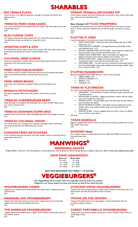# **SHARABLES**

# **BIG TRINA'S PLAY®**

Choice of four or six different appetizers, enough for sharing with friends with dipping sauces. 8.95

# **TRINA'S® FRIED CRAB CAKES**

Two of our hand-battered and deep fried of our jumbo crab meat cakes, served with Creole Cajun sauce. 6.95

# **BLEU CHEESE CHIPS**

Our kettle-cooked potato chips topped with our creamy bleu cheese sauce and crumbled bleu cheese, served with our buttermilk ranch. 6.25

# **WONTON CHIPS & DIPS**

Our homemade wonton chips, served with our green chile salsa, zesty tomato salsa, homemade fresh guacamole and fire roasted cheddar queso. 8.25

# **COLOSSAL FRIED CHEESE**

Choice of mozzarella or cheddar cheese, hand breaded, golden fried and served with buttermilk ranch and marinara sauces. 4.35

# **FRIED VEGETABLES BASKET**

Our fresh cut carrots, zucchini, mushrooms and broccoli, all battered and golden fried, served with honey Dijon and buttermilk ranch sauces. 6.95

### **FRIED GREEN BEANS**

Fresh green beans battered and golden fried, served with wasabi ranch. 4.65

#### **SPINACH POTSTICKERS**

Pan Asian dumplings stuffed with cream spinach, served with soy sauce. 6.95

#### **TRINA'S® CHEESEBURGER SKINS**

Deep dish pizza crust topped with hamburger bits, creamy cheddar cheese sauce, sour cream, and bacon bits. 8.25

### **TRINA'S® EDAMAME DUMPLINGS**

Soybeans from a pod served in Asian dumplings along with side of ginger soy sauce. 6.75

#### **TRINA'S® COLOSSAL ONION**

Our onion slices from a colossal onion, battered and golden fried to perfection, served with buttermilk and 1000 Island ranch sauces. 6.35

# **CHEDDAR FRIED ARTICHOKES**

Fresh artichokes battered and golden fried with cheddar cheese, served with side of buttermilk wasabi ranch. 6.95

# **MANWINGS®**

**MANWING® SAUCES**

Original Buffalo | Chili Lime | Red Hot Barbecue | Honey Barbecue | Cherry Barbecue | Blood Orange Barbecue | Jalapeno Barbecue | Blaster Buffalo *(our hottest sauce yet!)*

# **HOW MANY MANWINGS®?**<br>Bone-In Bone-Out

| Bone-In      | <b>Bone-Out</b> |
|--------------|-----------------|
| $8 = 6.95$   | $8 = 4.95$      |
| $12 = 10.95$ | $12 = 8.95$     |
| $14 = 12.95$ | $14 = 12.95$    |
| $24 = 20.95$ | $24 = 18.95$    |

#### **ADD OUR SEASONED HOT FRIES = 1.95 EXTRA!**

# **VEGGIEBURGERS®**

*Our VeggieBurgers® are made with real vegetable and soy bean 8 oz. patties. Topped on our honey baked rye buns and served on bed of our fresh hot fries.*

#### **VEGGIEBURGER® PANINI**

Topped on our toasted panini bread, grilled with asiago cheese, chopped tomatoes and fresh basil. 6.95

# **MARINARA MIA VEGGIEBURGER®**

Topped with fresh zesty tomato marinara sauce, asiago, Romano and mozzarella cheeses with fresh sliced portabella mushrooms. 7.65

# **THE AMERICAN VEGGIEBURGER®**

Topped with fresh shredded lettuce, arugula, sliced tomatoes, fresh pickle chips and real cheddar cheese. 6.25

# **CREAMY SPINACH ARTICHOKE DIP**

Cream cheese, spinach and fresh artichoke dip, served warm with crispy tortilla chips, sour cream and our homemade salsa. 6.75

# *New Recipe!* **LETTUCE WRAPPERS®**

Crisp Bibb lettuce topped with your choice of grilled chicken slices, ground sirloin beef or shrimp, along with chopped nuts, served with ginger soy sauce or peanut sauce. 6.25

#### **PLATTER O' FRIES**

A great large platter of fries with your choice of the following;

- *SWEET POTATO FRIES – Made from fresh sweet potatoes with side of 1000 Island ranch. 6.15*
- *CLASSIC BACON & CHEDDAR – Just topped bacon bits and cheddar cheese with buttermilk ranch. 6.35*
- *BACON & CHEDDAR SWEET POTATO FRIES – Sweet potato fries topped with bacon & cheddar cheese with side of buttermilk ranch. 6.45 LOADED TEXAS CHEESE FRIES – Bacon and cheddar fries topped with*
- *jalapenos and green onions with our jalapeno ranch dressing. 7.15 BUFFALO & BLEU FRIES – Buffalo sauced fries topped with creamy and*
- *crumbled bleu cheese, served with side of buttermilk ranch. 7.25*
- *SMOTHERED FRIES Our fresh load of our seasoned hot fries topped with our homemade black-pepper cream gravy, chopped ground sausage, cheddar cheese sauce, and green onions. 6.95*

#### **STUFFED MUSHROOMS**

Battered and golden fried, stuffed with your choice of the following;

- *CREAM CHEESE 5.95*<br>*CHEDDAR* **CHEDDAR**
- *<b>E ONION & CHEDDAR 6.15*<br>*E CPINACH 5.95*
- **SPINACH 5.95**<br>*SPINACH 5.95 CHEDDAR 5.95*

# **TRINA'S® FLATBREADS**

Our classic homemade flatbread, honey buttered and topped with the following;

- *MARGHERITA – Fresh sliced Roma tomatoes, basil leaves, garlic, parmesan and mozzarella cheeses.*
- *BUFFALO BEEF or CHICKEN – Buffalo sauced beef or chicken with bleu cheese sauce and crumbled bleu cheese bits.*
- *AVOCADO & FETA – Avocado Alfredo sauce with feta cheese and ripe California sliced avocadoes with cilantro.*
- *BACON MACARONI & CHEESE – Fresh elbow macaroni topped with creamy cheddar cheese sauce, graded cheddar cheese and crispy bacon bits with breadcrumbs.*
- *EGGPLANT & BRIE – Fresh cut eggplant dices, brie cheese, creamy rich Alfredo sauce and fresh romaine lettuce.*

8.95 each

# **TEXAS EGGROLLS**

Eggrolls wrapped with spinach, cream corn sauce and avocadoes, golden fried, served with wasabi ranch sauce. 6.95

# **SAGINAKI** *Opaa!*

Our cheddar cheese in a skillet flaming with fire (USE CAUTION!), served with our homemade pita chips. 6.75

# **AVOCADO SWISS VEGGIEBURGER®**

Topped with fresh shredded lettuce, arugula, sliced tomatoes, fresh pickle chips, real Swiss cheese and fresh sliced California ripe avocadoes. 7.25

# **VEGGIE ON THE VEGGIE®**

Topped with grilled fresh carrots, bell peppers, zucchini and squash with real provolone and goat cheeses. 7.25

#### **CHEESY PORTABELLA VEGGIEBURGER®**

Topped with fresh sliced portabella mushrooms, creamy cheddar cheese sauce and sliced asiago cheese. 6.65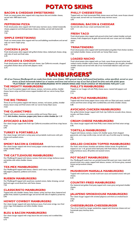# **POTATO SKINS**

# **BACON & CHEDDAR SWEETSKINS®**

Fresh cut sweet potato skins topped with crispy bacon bits and cheddar cheese, served with 1000 Island ranch. 6.95

#### **PEPPERONI PIZZA**

Fresh sliced potato skins topped with fresh zesty marinara sauce, melted mozzarella cheese, pepperoni and dried parmesan cheese crumbles, served with buttermilk ranch. 7.25

### **SIMPLE SWEETSKINS®**

Fresh cut sweet potato skins topped with hot and bubbiling marshmallows and served with our warm maple syrup. 6.25

# **CHICKEN & JACK**

Fresh sliced potato skins topped with grilled chicken dices, melted jack cheese, along with side of ranch and fresh salsa. 6.35

# **AVOCADO & CHICKEN**

Fresh sliced potato skins topped with jack cheese, ripe California avocado, chopped and grilled chicken dices served with jalapeno ranch. 6.75

# **PHILLY CHEESESTEAK**

Topped with our fresh homemade Philly cheese sauce and fresh, never-frozen shaved rib-eye steak, served with our homemade zesty marinara sauce. 6.95

# **ORIGINAL BACON & CHEDDAR**

Served with side of sour cream and buttermilk ranch. 6.35

#### **FRESH TACO**

Fresh sliced potato skins topped with ground sirloin beef, melted cheddar and jack cheeses, fresh chopped pico de gallo and served with sour cream and rich cheddar queso. 6.95

# **TRINATENDER®**

Fresh sliced potato skins topped with hand-breaded and golden fried chicken tenders, and melted cheddar cheese, served with our honey Dijon sauce. 7.25

# **LOADED NACHO**

Fresh sliced potato skins topped with our fresh, never-frozen ground sirloin beef, melted creamy cheddar nacho cheese, fresh sliced jalapenos, pico de gallo, shredded cheddar cheese and served with side of our homemade habanero salsa and sour cream. 7.95

**MANBURGERS®**

*All of our Famous ManBurgers® are made from fresh, never frozen, 100% ground chuck, half pound beef patties, unless specified, served on your choice of fresh homemade baked rye or sesame seed buns and served on top of our bed of fresh hot fries and with pickle spear. "PLATTERIZE" ANY OF OUR MANBURGERS® WITH ONION RINGS AND YOUR CHOICE OF MILKSHAKE FOR JUST 2.25!*

#### **THE MIGHTY MANBURGER®**

Two of our 8 oz patties topped with lettuce, tomato, red onions, pickles, cheddar cheese, bacon strips and fried onions topped doubled with our secret honey Dijon sauce. 12.25

#### **THE BIG TRINA®**

Three of our 8 oz patties topped with lettuce, tomato, red onions, pickles, cheddar cheese, bacon strips and fried onions with our secret honey Dijon sauce. 14.25

# **THE CLASSICTIME®**

Topped with lettuce, tomato, red onions, pickles and honey Dijon sauce. 6.15 *Add cheddar, American, pepper jack, Swiss or white cheddar for 1.15*

# **AVOCADO & BACON**

Our classic burger topped with fresh ripe California avocadoes and three crispy bacon strips. 6.95

#### **TURKEY & PORTABELLA**

Our classic burger with both a turkey patty and portabella mushrooms with jack cheese and sautéed onions. 6.75

#### **SMOKY BACON & CHEDDAR**

Our classic burger topped with three honey pepper smoke-style bacon strips and smoky cheddar cheese. 6.95

### **THE CATTLEHOUSE MANBURGER®**

Our ManBurger® topped with lettuce, tomato, fried onion strings, barbecue sauce and pickles with white cheddar cheese. 6.95

#### **TEX-MEX MANBURGER®**

Our ManBurger® topped with lettuce, cilantro ranch sauce, mango hot salsa, roasted bell peppers, jalapenos, poblanos and onions. 6.95

#### **RUEBEN MANBURGER®**

Our ManBurger® topped with sauerkraut, sautéed onions, Italian dressing, corned beef and sugar-cured sliced ham with Swiss cheese. 7.25

#### **CLASSICRISTO MANBURGER®**

Topped with only cheddar cheese, Swiss cheese, turkey and ham slices, battered and golden fried, dusted in powdered sugar and served with side of raspberry preserves. 6.95

# **HOWDY COWBOY MANBURGER®**

Our classic burger topped with spicy barbecue sauce, fried onion strings, two fried onion rings, fried jalapenos and white cheddar cheese. 7.15

# **BLEU & BACON MANBURGER®**

Our classic burger topped with crispy bacon bits and creamy and crumbled bleu cheese. 6.75

#### **PHILLY'S MANBURGER®**

Topped on our hoagie roll with Philly cheese sauce, roasted bell peppers and onions. 7.15

#### **PUB-STYLE MANBURGER®**

Topped with three honey pepper bacon strips with our Dijon pub sauce, sautéed onions and fried onion strings with crumbled bleu and white cheddar cheese. 6.85

#### **AVOCADO CHICKEN MANBURGER®**

Our grilled chicken burger topped with fresh ripe California avocado slices, lettuce, tomato, and Swiss cheese. 6.75

#### **CREAM CHEESE MANBURGER®**

Our classic burger topped with fresh Philly cream cheese and fried onion strings. 6.95

#### **TORTILLA MANBURGER®**

Topped with lettuce, tomato, creamy rich cheddar queso, fresh chopped guacamole, and crispy tortilla strips, served with cup of tortilla soup for dunking, ole! 6.95

# **GRILLED CHICKEN TOPPED MANBURGER®**

Our fresh, never-frozen, boneless and skinless chicken breast, fire-grilled and topped on our ½ lb. ground sirloin beef patty with fresh lettuce, sliced tomatoes, honey barbecue sauce, dill pickles and sauteed onions. 9.95

#### **POT ROAST MANBURGER®**

Our ManBurger® made from our grinded braised fall-a-part pot roast, mixed with ground sirloin into a patty, topped with lettuce, tomato, rich brown gravy, sauteed onions and provolone cheese. 6.95

#### **MUSHROOM MARSALA MANBURGER®**

Topped with mushrooms, marsala mushroom sauce and sautéed onions with jack cheese. 6.25

#### **COUNTRY-FRIED MANBURGER®**

Our battered and golden fried patty topped with cream gravy and grated cheddar cheese. 7.95

#### **JALAPENO SMOKEHOUSE MANBURGER®**

Our classic burger topped with smoked jalapenos and thick-cut smoked bacon strips. 6.95

#### **CHEESEBURGER-CHEESEBURGER**

Two of our fresh 8 oz. burger sandwiches, topped with American cheese and our homemade spicy ketchup sauce. 8.25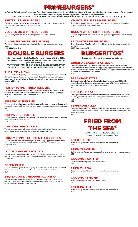# **PRIMEBURGERS®**

*All of our PrimeBurgers® are made from fresh, never frozen, 100% ground chuck, mixed with our ground prime rib meat, served ½ lb. on sesame seed homemade buns on top of our bed of fresh hot fries and with pickle spear*

*"PLATTERIZE" ANY OF OUR PRIMEBURGERS® WITH ONION RINGS AND YOUR CHOICE OF MILKSHAKE FOR JUST \$2.25!*

# **PRETZEL PRIMEBURGER®**

Topped with lettuce, tomato, red onions, pickles and our creamy bacon mustard sauce, on our homemade light-salted pretzel bun. 9.95

# **VEGGIES ON A PRIMEBURGER®**

Topped with grilled carrots, squash, bell peppers and sauteed onions. 9.65

# **ALL-AMERICAN PRIMEBURGER®**

Topped with lettuce, tomato, red onions, pickles and our chipotle creamy steak sauce.

8.25 *Add cheese 0.95*

# **DOUBLE BURGERS**

*All of our creative Best Double Burgers are made with two 100% ground chuck ½ lb. beef patties and served on bed of our fresh hot fries and pickle spear.*

*"PLATTERIZE" ANY OF OUR DOUBLE BURGERS WITH ONION RINGS AND YOUR CHOICE OF MILKSHAKE FOR JUST \$2.25!*

# **THE MESSY MEX®**

Topped with fresh chopped guacamole relish, spicy creamy chipotle sauce, chopped Pico de Gallo, spicy habenero marinara sauce, chopped caramelized onions, sou cream, pepper jack and jalapeno cheddar cheeses, all on our homemade jalapeno crispy cheddar bun. 11.25

# **HONEY-PEPPER TRINATENDER®**

Topped with our honey-pepper golden fried chicken tenders, fresh arugula, sliced tomatoes, shredded fresh lettuce, creamy cheddar queso and honey Dijon mayo sauce, all on our sesame seed homemade bun. 11.95

# **PEPPERONI SUPREME**

Topped with fresh sliced pepperoni, bell peppers, jalapenos, red onions, cheddar and mozzarella cheeses with our zesty marinara sauce, all on our sesame seed homemade bun.

12.55

# **BRATWURST RUEBEN**

Topped with sliced bratwurst, sauerkraut, 1000 Island creamy sauce, corned beef and served on our homemade rye bun. 11.95

# **CHEDDAR FRIED APPLE**

Topped with our homemade golden cheddar fried apples, sliced cheddar cheese and apple caramel sauce, served on our sesame seed homemade bun. 11.25

# **HONEY PEPPER CHICKEN MAC & CHEESE**

Topped with our hand-battered and golden fried honey-pepper chicken breast with our homemade creamy macaroni and cheddar cheese, all on our sesame seed homemade bun. 13.25

# **LOADED MASHED POTATO**

Topped with a load of loaded cheddar and crispy bacon mashed potatoes, creamy cheddar cheese sauce, fried onion strings and smothered in cream gravy, all on our Texas toast. 13.25

#### **GREEN CHILIE**

Topped with hatch green chilies, pepper jack cheese, chipotle mayo, fresh shredded lettuce, sliced tomatoes, and served on our sesame seed homemade bun. 12.95

# **BBQ BACON & CHEDDAR JALAPENO**

Topped with our original barbecue sauce, thick-cut smoked bacon strips, sliced cheddar cheese, fresh sliced jalapenos, fresh shredded lettuce, sliced tomato and served on our sesame seed homemade bun. 11.25

# **CHIPOTLE BLEU PRIMEBURGER®**

Topped with lettuce, tomato, crumbled bleu cheese, red onions, pickles and our creamy chipotle bleu cheese ranch sauce. 8.95

# **BACON WRAPPED PRIMEBURGER®**

Our ground prime rib meat patty bacon wrapped and topped the All-American way. 8.75

#### **ULTIMATE PRIMEBURGER®**

Our All-American PrimeBurger® with double the prime rib meat and double the toppings. 14.25 *Add cheese 0.95*

**BURGERITOS®**

*Served on bed of our fresh seasoned hot fries.*

# **ORIGINAL BACON & CHEDDAR**

Our large homemade flour tortilla rolled and stuffed with ground 100% sirloin, shredded cheddar cheese, crumbled crispy honey-pepper bacon bits, fresh shredded lettuce, sliced tomatoes, authentic refried beans, and topped with our homemade rich cheddar queso and chopped red onions. 4.95

### **BREAKFAST-STYLE**

Our large homemade flour tortilla rolled and stuffed with ground 100% sirloin, shredded cheddar cheese, scrambled eggs, authentic refried beans, and topped with our homemade rich and creamy hollandaise sauce. 5.95

### **SUPREME PIZZA**

Our large homemade flour tortilla rolled and stuffed with mozzarella and ricotta cheeses, ground 100% sirloin, pepperoni, chopped bell peppers and sliced olives, topped with our marinara sauce and mozzarella cheese. 6.25

### **PEPPERONI PIZZA**

Our large homemade flour tortilla rolled and stuffed with mozzarella and ricotta cheeses, ground 100% sirloin, pepperoni and topped with our marinara sauce and mozzarella cheese. 5.95

# **FRIED FROM THE SEA®**

*All "Fried From The Sea®" platters are served on bed of our fresh hot fries.*

#### **FRIED SHRIMP**

Battered and golden fried, served with cocktail and tartar sauces. 6.95

#### **FRIED CRAWFISH**

Golden fried crawfish served with cocktail, tartar and raspberry mustard sauces. 6.95

#### **COCONUT CATFISH**

Catfish battered and golden fried with coconut. 7.95

#### **FRIED TILAPIA**

Battered and golden fried, served with cocktail and tartar sauces. 7.85

#### **COCONUT SHRIMP**

Shrimp battered and golden fried with coconut. 7.95

#### **FRIED CATFISH**

Battered and golden fried, served with cocktail and tartar sauces. 7.85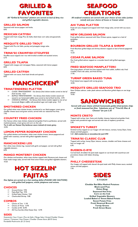# **GRILLED & FAVORITES**

#### *All "Grilled & Favorites" platters are served on bed of dirty rice and grilled vegetable skewers.*

### **GRILLED SALMON**

Seasoned with lemon-pepper and herbs. 8.95

### **MEXICAN CATFISH**

Topped with fresh mango Pico de Gallo, black bean corn salsa and guacamole. 9.25

### **MESQUITE GRILLED TROUT**

Topped with Pico de Gallo, parsley and pineapple mango salsa. 9.65

#### **TRINA'S® CRAWFISH ETOUFFEE**

Etouffee sauce topped over rice with broiled crawfish and sautéed onions. 6.75

#### **GRILLED TILAPIA**

Topped with mangos and red pepper flakes, seasoned with lemon pepper. 8.95

#### **GRILLED CATFISH**

Topped with rum sauce, fresh basil shreds and spinach. 8.95



# **TRINATENDERS® PLATTER**<br>**Exp** CLASSIC TRINATENDERS® – Our famous fr

- *CLASSIC TRINATENDERS® – Our famous fried chicken tenders served on bed of fresh hot fries. 8.25*
- *BUFFALO TRINATENDERS® – Our famous fried chicken tenders tossed and*
- *sauced in our homemade buffalo sauce served on bed of fresh hot fries. 8.95 CHICKEN & WAFFLES – Our famous fried chicken tenders topped on two of our homemade Belgian waffles with powdered sugar and maple syrup. 9.25*

# **SMOTHERED CHICKEN**

Our grilled white meat chicken breast, smothered in our black-pepper cream gravy, cheddar cheese sauce and green onions, served with our seasoned hot fries. 7.95

# **COUNTRY FRIED CHICKEN**

Our famous white meat chicken, battered and golden fried to perfection, served with mashed potatoes, cream gravy and corn on the cob. *Try it with our Kansas City barbecue sauce instead of cream gravy.*  10.95

#### **LEMON-PEPPER ROSEMARY CHICKEN**

Our grilled skinless and boneless, white meat chicken breast, lemon-peppered and grilled with rosemary, served with grilled vegetable skewers. 8.95

#### **MANCHICKEN® LEG**

Our white meat chicken leg, roasted with garlic and pepper, served with grilled vegetable skewers. 8.95

# **MANGO MONTEREY CHICKEN**

Our skinless and boneless, white meat chicken topped with Monterey jack cheese and fresh made mango salsa, served with fried onion fritters and grilled vegetable skewers. 10.25

# **HOT SIZZLIN' FAJITAS**

*Our fajitas are served on a hot sizzling skillet (PLEASE USE CAUTION!) with grilled bell peppers, whole jalapenos and onions.*

# **CHOICES**

- Ground Sirloin 9.95
- Fajita Beef Tips 9.95
- **Grilled Fajita Chicken 9.65**
- **ESP** Charbroiled Shrimp 9.85

#### **COMBOS**

- $E^*$  Choice of Two 11.95
- Es Choice of Three 13.95
- **Example 25.95**<br> **Example 25.95**<br> **Cample 25.95**<br> **Cample 25.95**
- All-You-Can-Eat *(Only Choose One)* 12.95

# **SIDES**

Guacamole | Sour Cream | Pico de Gallo | Mango Salsa | Grated Cheddar Cheese Lettuce | Tomatoes | Feta Cheese | Cheddar Cheese Sauce *(\$0.95 Extra)* Portabella Mushrooms *(\$1.25 Extra)*

# **SEAFOOD CREATIONS**

*All seafood creations are served with your choice of two sides (unless noted) and your choice of house or Caesar salad.*

### **AHI TUNA PLATTER**

Fresh ahi tuna chopped and topped with fresh mango salsa, served with soy sauce. 10.95

#### **NEW ORLEANS SALMON**

Fresh grilled salmon seasoned with New Orleans spices, topped on a bed of jambalaya. 10.85

### **BOURBON GRILLED TILAPIA & SHRIMP**

Fresh Bourbon grilled tilapia and shrimp skewers topped on bed of lemon-peppered rice. 12.25

#### **CEDAR PLANK SALMON**

Our fresh grilled salmon topped on a wooden board with grilled asparagus. 12.15

#### **FRIED SEAFOOD MANPLATTER®**

One large platter of fresh hot fries topped with fried catfish, stuffed crab, fried crawfish, fried crab cakes, and fried shrimp. 17.95

### **TURNIP GREEN BAKED TUNA**

Fresh baked tuna topped with turnip greens. 10.95

# **MESQUITE GRILLED SEAFOOD TRIO**

New Orleans salmon, cedar plank salmon and Bourbon grilled tilapia on one large platter. 19.95

# **SANDWICHES**

*Served with your choice of fresh homemade golden fried potato chips or fresh seasoned hot fries. Substitute any of "Trina's® Mac & Cheeses" for just 2.35*

#### **MONTE CRISTO**

Topped with turkey, ham, Swiss and cheddar cheeses, battered and golden fried, dusted with powdered sugar and served with side of raspberry preserves. 5.95

#### **SMOKEY'S TURKEY**

Smoked turkey topped on our hoagie roll with lettuce, tomato, honey Dijon, Swiss cheese and bell peppers.

5.65 *Add cranberries or avocadoes for just 0.95!*

#### **TRINA'S® CLASSIC CLUB**

Topped with turkey, honey Dijon, lettuce, tomato, cheddar and Swiss cheeses and ham on hoagie roll. 6.95

# **RUEBEN-O-RYE**

Corned beef, shredded rib-eyed steak topped on rye bread with sauerkraut and provolone cheese with Italian dressing. 7.25

#### **PHILLY CHEESESTEAK**

Our hoagie roll topped with shaved rib-eyed steak with Philly cheese sauce, sautéed onions and bell peppers. 7.95



*0.75 EACH!*

**Cheddar Red Bliss Mashed Potatoes Black-eyed Peas Onion Rings Seasoned Hot Fries Corn on the Cob Grilled Vegetable Skewers Loaded Baked or Sweet Baked Potato Sweet Potato Fries Fresh Steamed Broccoli Turnip Greens Fresh Green Beans**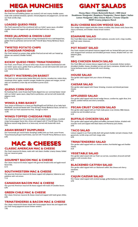# **MEGA MUNCHIES**

# **KICKIN' QUESO DIP**

Our fresh hot and bubbling (please use caution!) rich and creamy cheddar queso made with sundried tomatoes, spinach, minced jalapenos and peppercorn, served with our fresh tortilla chips. 4.95

# **LOADED QUESO FRIES**

Our fresh seasoned hot fries smothered with our kickin' queso sauce, shredded cheddar cheese and topped with ground sirloin beef and sour cream. 6.95

# **FRIED JALAPENO & ONION LOAF**

Our fresh sliced jalapenos and onion strings hand-battered into a loaf-shaped box, golden fried to perfection and served with Trina's® Spicy Honey Barbecue Sauce. 6.95

#### **TWISTED POTATO CHIPS & CHEDDAR FONDUE**

Our fresh twisted cut potato chips, golden fried and served with our heated up (please use caution!) cheddar fondue. 8.25

# **KICKIN' QUESO FRIED TRINATENDERS®**

Our fresh, never-frozen, all natural white meat chicken tenders hand-battered with our kickin' queso sauce, golden fried to perfection, served with buttermilk ranch and our creamy honey chipotle sauce. 6.25

# **FRUITY WATERMELON BASKET**

Our fresh cut real watermelon basket filled with cherries, strawberries, melon slices, cantaloupe slices, apples, mandrin oranges, blueberries, grapes and mangos, served with our strawberry cream dip and strawberry puree sauce. 8.95

# **QUESO CORN DOGS**

Six footlong fresh, never-frozen beef franks dipped into our cornmeal batter mixed with our kickin' queso sauce, deep fried to perfection, and served with buttermilk jalapeno ranch.  $6.75$ 

# **WINGS & RIBS BASKET**

Your choice of 20 bone-in or bone-out ManWings® and Full Rack of our baby back ManRibs®, sauced and basted with Trina's® Spicy Honey Barbecue Sauce, served in a basket with our fresh seasoned hot fries. Enough to share! 12.95

# **WINGS-TOPPED CHEDDAR FRIES**

Our fresh seasoned hot fries smothered with shredded cheddar cheese, crumbled crispy honey-pepper bacon bits, chives and topped with 6 Trina's® Spicy Honey Barbecue sauced wings (bone-in or bone-out), served with buttermilk ranch. 9.95

# **ASIAN BRISKET DUMPLINGS**

Our homemade pan seared Asian dumplings stuffed with our fresh, never-frozen, Texas-braised pull-apart beef brisket, searved with Trina's® Honey Barbecue sauce. 6.95

# **MAC & CHEESES**

#### **CLASSIC AMERICAN MAC & CHEESE**

Our fresh macaroni & cheese, made with real classic cheddar creamy cheese, folded into our macaroni pasta. 5.95

# **GOURMET BACON MAC & CHEESE**

Our classic macaroni & cheese topped with gourmet breadcrumbs and apple-wood bacon bits. 6.15

#### **SOUTHWESTERN MAC & CHEESE**

Our gourmet American macaroni & cheese topped with jalapenos, habeneros and poblanos with red onions. 7.15

# **CANADIAN BACON MAC & CHEESE**

Our gourmet American macaroni & cheese topped with loads of Canadian bacon. 6.95

#### **GREEN CHILE MAC & CHEESE**

Our classic American macaroni & cheese mixed and topped with hatch green chilies. 6.95

# **TRINATENDERS® & BACON MAC & CHEESE**

Our classic macaroni & cheese mixed with honey-pepper bacon bits and topped with our fresh honey-peppered sauced chicken tenders. 7.95

# **GIANT SALADS**

*DRESSINGS*

*Honey Dijon | Classic Buttermilk Ranch | 1000 Island Steakhouse Vinaigrette | Raspberry Vinaigrette | Sweet Apple | Italian Lemon Vinaigrette | Bleu Cheese Ranch | Tomato Chipotle NEW! Creamy Jalapeno Ranch*

# **BLEU CHEESE BACON WEDGE SALAD**

Our wedge lettuce topped with bleu cheese crumbles, bleu cheese ranch, bacon bits, cherry tomatoes, and cheddar cheese bread crackers. 6.75

#### **EDAMAME SALAD**

Our fresh Bibb lettuce topped with fresh soybeans, avocado ranch, crispy noodles, and fresh water chestnuts. 4.25

#### **POT ROAST SALAD**

Our fresh romaine and spinach lettuces topped with our braised fall-a-part pot roast with chopped fresh tomatoes and shredded parmesan cheese, drizzled with our rich balsamic glaze. 5.65

#### **BBQ CHICKEN RANCH SALAD**

Our fresh Bibb and romaine lettuce topped with our homemade chicken tenders, shredded cheddar cheese, shredded carrots and cherry tomatoes, drizzled with our honey barbecue sauce and buttermilk ranch dressing. 5.95

#### **HOUSE SALAD**

Our garden salad topped with your choice of dressing. 4.95

### **CAESAR SALAD**

Our garden salad topped with Caesar dressing, croutons and shaved parmesan cheese. 4.95

### **APPLESEED SALAD**

Our garden salad topped with shaved wedge lettuce, cranberries, apple dices, brie cheese, candied walnuts and cherry tomatoes. 6.25

# **PECAN CRUST CHICKEN SALAD**

Our garden salad topped with our fresh made pecan crust chicken, Bibb lettuce, cranberries and shredded carrots. 6.25

#### **BUFFALO CHICKEN SALAD**

Our garden salad topped with grilled and buffalo marinated chicken, drizzled with avocado ranch and topped with black beans and Monterey jack cheese. 6.95

### **TACO SALAD**

Lettuce topped in our fried tortilla shell with grated cheddar and jack cheeses, fresh guacamole, tortilla strips and fresh mango salsa. 6.95

#### **TRINATENDERS® SALAD**

Our garden salad topped with our chicken tenders, hard-boiled eggs and cheddar cheese. 6.25

# **VEGETABLE SALAD**

Our garden salad tossed with our fresh cut carrots, cucumbers, broccoli and bell peppers with avocado slices. 6.75

# **BLACKENED CATFISH SALAD**

Our garden salad topped with our blackened catfish, feta cheese and cherry tomatoes. 6.95

#### **CAJUN CAESAR SALAD**

Our Caesar salad topped with smoked sausage, grilled barbecue chicken and crawfish. 6.95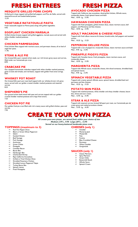# **FRESH ENTREES**

# **MESQUITE GRILLED PORK CHOPS**

Grilled pork chops topped with grilled bell peppers, and Pico de Gallo, served with steamed broccoli and loaded baked potato. 12.35

# **VEGETABLE RATATOUILLE PASTA**

Fresh ratatouille topped on Penne pasta along with grilled vegetables. 9.95

# **EGGPLANT CHICKEN MARSALA**

Grilled chicken breasts topped with grilled eggplants, marsala sauce and served with white cheddar mashed potatoes. 9.95

# **CHICKEN PARMESAGNA**

Fried chicken filets topped with marinara sauce, and parmesan cheese, all on bed of angel hair pasta. 11.95

# **STEAK & ALE PIE**

Our braised fall-a-part roasted sirloin steak, our rich brown gravy sauce and carrots, filled under our homemade pie crust. 8.95

# **CRABCAKE PIE**

Our chopped homemade crabcakes topped with white cheddar mashed potatoes, garlic Creole aloli drizzle, and red beans, topped with golden fried onion strings. 8.65

# **WHISKEY POT ROAST**

Our braised fall-a-part pot roast beef topped with our whiskey brown rich gravy sauce, served with our golden crusted cheddar mashed potatoes and steamed carrots. 8.25

# **SHEPHERD'S PIE**

Our ground sirloin beef mixed with peas and carrots topped with our golden crusted cheddar mashed potatoes and crispy fried onions. 7.25

# **CHICKEN POT PIE**

Our golden fried pie crust filled with rich creamy sauce with grilled chicken, peas and carrots. 7.95

# **FRESH PIZZA**

# **AVOCADO CHICKEN PIZZA**

Topped with California ripe avocadoes, diced grilled chicken, Alfredo sauce, mozzarella cheese, fresh spinach leaves and basil. Med…10.95 Lg…13.95

# **HAWAIIAN CHICKEN PIZZA**

Topped with fresh pineapples, grilled chicken dices, classic marinara sauce, bell peppers, and Monterey and feta cheeses. Med…10.95 Lg…13.95

# **ADULT MACARONI & CHEESE PIZZA**

Topped with fresh elbow macaroni & cheese, breadcrumbs, bell peppers and sautéed onions. Med...10.25 Lg...13.25

# **PEPPERONI DELUXE PIZZA**

Topped with a ton of pepperoni, mozzarella cheese, classic marinara sauce and basil. Med…9.95 Lg…12.95

# **PINEAPPLE PIGGY® PIZZA**

Topped with Canadian bacon, fresh pineapples, classic marinara sauce, and mozzarella cheese. Med…10.95 Lg…13.95

# **MARGHERITA PIZZA**

Topped with Alfredo sauce, mozzarella cheese, thin-sliced tomatoes, shredded basil, and spinach leaves. Med…9.95 Lg…12.95

# **SPINACH VEGETABLE PIZZA**

Topped with creamy spinach Alfredo sauce, spinach leaves, shredded basil and parmesan and feta cheeses. Med…10.25 Lg…13.25

# **POTATO SKIN PIZZA**

Topped with mashed potatoes, white cheddar and sharp cheddar cheeses, bacon bits, chives and sour cream. Med…12.95 Lg…15.95

# **STEAK & ALE PIZZA**

Topped with steamed carrots, braised fall-apart pot roast, our homemade pan ale cream gravy and melted provolone cheese. Med…13.95 Lg…16.95

# **CREATE YOUR OWN PIZZA**

*All create-your-own pizzas are served fresh within your choice of size Medium (18")…9.95 Large (20")…12.95 Served on our honey-buttered handmade pizza crust.*

# **TOPPINGS (maximum to 3)**

- <sup>r</sup> Red Hot Pepper Dices
- **Black or Green Olives Pepperoni**
- <sup>res</sup> Salami<br><sup>res</sup> Sautée
- Sautéed Onions **Beef Sausage**
- 
- **Pork Sausage**<br> *Pork Sausage* **Anchovies**<br> **Example 1**
- Green Chilies
- $E$  Pineapple
- Canadian Bacon
- <sup>18</sup> Bacon Bits<br><sup>188</sup> Hamburgeu
- <sub>क</sub> Hamburger Bits<br>म्ब्ज Charbroiled Shr Charbroiled Shrimp
- 
- **Ripe California Avocadoes**<br> **Ripe California Avocadoes**<br> **Right** Grilled or Fried Chicken D Grilled or Fried Chicken Dices
- **Shredded Rosemary Chicken**<br>
Shredded Lemon Pennered T
- Shredded Lemon Peppered Tilapia
- **Example Turkey Bacon Bits**
- 
- 
- **Example Spinach Leaves**
- **Firesh Pineapples**

<sup>13</sup> Monterey Jack<br>13 Mozzarella Mozzarella Feta **Fontina** 

**CHEESES (only 1)** Cheddar

- **Bleu Crumbled Cheese**<br> **Bramesan**
- Parmesan
- **ES** White Cheddar
- Gorgonzola

### **SAUCES (only 1)**

- **Ester Classic Marinara**
- Spicy Marinara
- Green Chilie **Buttermilk Ranch**
- **RS** Alfredo Sauce
- Spinach Cream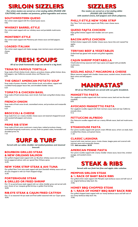# **SIRLOIN SIZZLERS**

*Our sirloin sizzlers are served on a hot sizzling skillet (PLEASE USE CAUTION!) with cheddar red potatoes, grilled vegetables and onions.*

# **SOUTHWESTERN QUESO**

Our sirloin steak topped with fire-roasted queso sauce. 9.95

# **WHISKEY BARREL-STYLE**

Our sirloin steak topped with our whiskey sauce and portabella mushrooms. 9.25

# **MONTEREY-STYLE**

Our sirloin steak topped with Monterey jack cheese sauce and bell peppers. 9.95

# **LOADED ITALIAN**

Our sirloin steak topped with Italian sausage, meat marinara sauce and parmesan cheese. 9.95

# **FRESH SOUPS**

*All of our fresh homemade soups are served in a big bowl.*

# **TRINA'S® FAMOUS TORTILLA**

Soup made of fresh chicken broth, cilantro, provolone cheese, grilled chicken dices, bell peppers, ripe California avocado slices, and Mexican rice. 6.95

# **THE GREAT AMERICAN POTATO SOUP**

Soup made of potato chowder, fresh chicken broth, and scallions, topped with crumbled honey-pepper bacon bits, and shredded cheddar cheese. 6.25

# **TOMATO & CHICKEN BASIL**

Soup made of fresh tomato base, warm broth, fresh basil, and grilled chicken dices. 6.95

# **FRENCH ONION**

Soup made of fresh onion broth, caramelized onions, and provolone and mozzarella cheeses. 6.25

# **BROCCOLI & CHEESE**

Soup made from our creamy cheddar cheese sauce and steamed chopped broccoli with sautéed bell peppers and onions. 6.95

# **PRIME RIB STEW**

Soup made of fresh onion mushroom creamy base, melted provolone cheese, caramelized burgundy mushrooms, carrots, fresh-cut potato cubes, horseradish and shredded prime rib. 7.25

# **SURF & TURF**

*Served with our white cheddar red mashed potatoes and steamed broccoli.*

# **BOURBON GRILLED STEAK & NEW ORLEANS SALMON**

Our grilled chopped steak topped with our Bourbon whiskey sauce and our grilled lemon peppered salmon with our special New Orleans spices. 16.95

# **NEW YORK STRIP STEAK & AHI TUNA**

Our grilled New York strip steak topped with Jack Daniels® whiskey sauce and our ahi tuna chopped in with our fresh chopped mango. 16.95

# **PORTERHOUSE STEAK & GRILLED OR FRIED SHRIMP**

Our 12 oz porterhouse steak topped with our white cheddar gravy and served with your choice of our mesquite grilled shrimp or golden fried shrimp. .<br>18.95

# **RIB-EYE STEAK & CAJUN FRIED CATFISH**

Our 12 oz seasoned rib-eye steak and fried catfish seasoned with our Cajun spices. 18.95

# **SIZZLERS**

*Our sizzlers are served on a hot sizzling skillet (PLEASE USE CAUTION!) with sautéed onions, bell peppers and whole jalapenos.*

# **PHILLY-STYLE NEW YORK STRIP**

Our New York strip steak topped with Philly cream cheese sauce. 8.95

# **QUESO FAJITA CHICKEN**

Fajita grilled chicken topped with cheddar and corn queso. 8.95

# **BACON APPLE CHICKEN**

Grilled chicken topped with cheddar cheese sauce, bacon bits and roasted Fuji apples. 8.95

# **TERIYAKI BEEF & VEGETABLES**

Grilled beef tips glazed with teriyaki and grilled vegetables. 9.65

# **CAJUN SHRIMP PORTABELLA**

Charbroiled shrimp seasoned with Cajun spices and topped with portabella mushrooms. 9.95

### **SIZZLING ADULT MACARONI & CHEESE**

Elbow macaroni topped with cheddar cheese sauce, sautéed onions, breadcrumbs, black olives and bell peppers. 7.95



*All of our ManPastas® are served with our garlic breadstick.*

### **MANGETTI® PASTA**

Our spaghetti noodles topped with fresh marinara sauce, basil and two fist-sized meatballs. 8.95

### **AVOCADO MANGETTI® PASTA**

Our spaghetti noodles topped with fresh marinara sauce, basil and ripe California avocado slices. 9.15

# **FETTUCCINI ALFREDO**

Our fettuccini noodles topped with our creamy Alfredo sauce, basil and mushrooms. 8.95

# **STEAKHOUSE PASTA**

Our penne noodles topped with spinach cream Alfredo sauce, sirloin cut steak, basil, crumbled feta cheese, and spinach leaves. 11.25

# **CLASSIC LASAGNA**

Layered with meat marinara sauce, ricotta cheese, lasagna pasta and covered with marinara sauce and mozzarella cheeses. 9.95 *Add avocadoes \$0.95*

# **AMERICAN PENNE PASTA**

Our penne noodles topped with creamy cheddar cheese sauce, bacon bits, smoked sausage, and sautéed onions. 9.95

# **STEAK & RIBS**

*Served with our fresh hot fries and apple cider coleslaw.*

# **MEMPHIS SIRLOIN STEAK & ½ RACK OF BABY BACK RIBS**

Our grilled sirloin steak topped with Memphis style barbecue sauce and half rack of our original barbecue baby back ribs. 19.95

# **HONEY BBQ CHOPPED STEAK & ½ RACK OF HONEY BBQ BABY BACK RIBS**

Our grilled chopped steak topped with our honey barbecue sauce and half rack of our honey barbecue baby back ribs. 19.95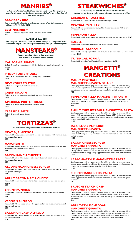# **MANRIBS®**

*All of our classic ManRibs® are slow smoked every 4 hours, triple basted with any of our barbecue sauces and they're served on bed of our fresh hot fries.*

# **BABY BACK RIBS**

Slow smoked to fall-off-the-bone, triple basted with any of our barbecue sauce. Half Rack…6.95 Full Rack…12.95

### **BEEF MANRIBS®**

Half rack of beef ribs topped with your choice of barbecue sauce. 9.95

**BARBECUE SAUCES**

*The Original Classic™ | Trina's® Sweet Honeys™ | Jalapeno Classic Cinnamon Apple Seared Rub | Memphis Dry Rub | Red Hot Original*

# **MANSTEAKS®**

*Served on a bed of our grilled vegetables and a side of our loaded baked potato.*

#### **CALIFORNIA RIB-EYE**

Grilled 10 oz. rib-eye steak topped with ripe California avocado slices and Swiss cheese. 11.95

#### **PHILLY PORTERHOUSE**

Grilled 14 oz steak topped with our creamy Philly cheese sauce. 14.25

### **NEW YORKER'S STRIP**

Grilled 12 oz strips marinated with our spices. 12.95

# **CAJUN SIRLOIN**

Grilled 16 oz sirloin steak marinated with our own Cajun spices. 14.95

# **AMERICAN PORTERHOUSE**

Grilled 14 oz. steak marinated with A.1® steak sauce. 13.95

#### **CLASSIC RIB-EYE** Grilled 10 oz. steak with a rib-eye.

9.95



*Our Tortizzas® are pizzas made with tortillas as crusts.*

#### **MEAT & JALAPENOS**

Topped with sausage, pepperoni, salami, and fresh cut jalapenos with marinara sauce and mozzarella cheese. 4.95

# **MARGHERITA**

Topped with spinach Alfredo sauce, sliced Roma tomatoes, shredded basil and sundried tomatoes with mozzarella cheese. 4.95

# **BACON RANCH CHICKEN**

Topped with grilled chicken, bacon bits, creamy buttermilk ranch sauce, and cheddar and mozzarella cheeses. 5.25

### **ALL-AMERICAN CHEESEBURGER**

Topped with buttermilk ranch, shredded lettuce, chopped tomatoes, cheddar cheese and ground hamburger. 5.35

# **ADULT BACON MAC & CHEESE**

Topped with bacon bits, macaroni and cheese homemade, bell peppers, and grilled onions. 4.95

#### **SHRIMP ROMAINE**

Topped with charbroiled shrimp, romaine lettuce, cocktail sauce, and mozzarella cheese. 5.15

#### **VEGGIE'S ALFREDO**

Topped with Alfredo sauce, grilled bell peppers and onions, mozzarella cheese, and fresh spinach leaves. 4.95

# **BACON CHICKEN ALFREDO**

Topped with our creamy Alfredo sauce, grilled chicken, bacon bits, and mozzarella and cheddar cheeses. 5.25

# **STEAKWICHES®**

*Steakwiches® are shaved rib-eye and sirloin steaks topped on our hoagie rolls, served with our sweet potato chips.*

### **CHEDDAR & ROAST BEEF**

Topped with real cheddar cheese, roast beef and au jus. \$6.25

#### **MEATBALL'S PHILLY**

Topped with our homemade meatballs, white cheddar cheese and Philly cream cheese sauce. \$6.85

# **PEPPERONI PIZZA**

Topped with freshly sliced pepperoni, mozzarella cheese and marinara sauce. \$6.85

#### **RUEBEN**

Topped with corned beef, sauerkraut and Italian dressing. \$6.95

### **ORIGINAL BARBECUE**

Topped with Trina's® original barbecue sauce, white cheddar cheese and fried onion strings. \$6.25

### **TRI-TIP CALIFORNIA**

Topped with tri-tip beef and fresh California avocadoes. \$6.55

**MANGETTI® CREATIONS**

# **MANLY MEATBALL**

# **MANGHETTI® PASTA DELUXE**

Our large portion of fresh spaghetti noodles folded and mixed in with our meaty tomato sauce, topped with three fist-sized manly ground meatballs, topped with extra tomato sauce and mozzarella cheese, served with garlic breadstick. 9.95

#### **PEPPERONI PIZZA MANGHETTI® PASTA**

Our large portion of fresh spaghetti noodles folded and mixed in with our tomato sauce, lots of pepperoni and topped with mozzarella cheese, served with garlic breadtstick. 9.95

# **PHILLY CHEESESTEAK MANGHETTI® PASTA**

Our large portion of fresh spaghetti noodles folded and mixed in with our rich and creamy Philly cheese sauce, shaved fresh, never-frozen, USDA choice sirloin steak, sauteed bell peppers and onions, sliced sauteed mushrooms and shredded provolone cheese, served with garlic breadstick. 11.25

# **JALAPENO & PEPPERONI MANGHETTI® PASTA**

Our large portion of fresh spaghetti noodles folded and mixed in with our tomato sauce, sliced fresh jalapenos, lots of pepperoni, and mozzarella cheese, served with garlic breadstick. 10.25

# **BACON CHEESEBURGER MANGHETTI® PASTA**

Our large portion of fresh spaghetti noodles folded and mixed in with our rich and creamy cheddar cheese sauce, fresh and never-frozen ground sirloin beef, cheddar cheese and crumbled crispy honey-pepper bacon bits, served with garlic breadstick. 12.25

#### **LASAGNA-STYLE MANGHETTI® PASTA**

Our large portion of fresh spaghetti noodles folded and mixed in with our meaty tomato sauce, topped with whipped ricotta cheese, fresh lasagna noodles, mozzarella cheese, and extra tomato sauce, served with garlic breadstick. 12.25

# **SHRIMP MANGHETTI® PASTA**

Our large portion of fresh spaghetti noodles folded and mixed in with our tomato sauce, topped with charbroiled shrimp and mozzarella cheese, served with garlic breadstick. 10.95

# **BRUSCHETTA CHICKEN**

# **MANGHETTI® PASTA**

Our large portion of fresh spaghetti noodles folded and mixed in with our tomato sauce, topped with fresh, never-frozen fire-grilled chicken breast slices, shaved parmesan cheese and drizzled with our sweet balsamic glaze, served with bruschetta garlic bread. 9.95

# **ADULT-STYLE CHEDDAR MANGHETTI® PASTA**

Our large portion of fresh spaghetti noodles folded and mixed in with our rich and creamy cheddar cheese sauce, cheddar cheese, sauteed bell peppers, poblanos, chopped onions, roasted spicy tomatoes and sauteed mushrooms, topped with crumbled crispy honey-pepper bacon bits, served with garlic breadstick. 9.95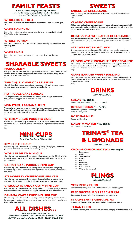# **FAMILY FEASTS**

*FAMILY FEASTS are for people of 4 or more! Served with fresh fruit, vegetables, mashed potatoes and our Trina's® Italian Family Salad.*

### **WHOLE ROAST BEEF**

Fresh whole roast beef, roasted from the oven and topped with our brown gravy. 26.95

# **WHOLE CHICKEN**

Fresh whole rotisserie chicken, roasted from the oven and served with side of Trina's® honey barbecue sauce. 24.95

# **WHOLE TURKEY**

Fresh whole turkey, roasted from the oven with our honey glaze, served with bowl of turkey gravy. 24.95

### **WHOLE HAM**

Fresh whole ham, roasted and baked with our honey glaze from the oven. 26.95

# **SHARABLE SWEETS**

### **MANCOOKIE®**

Our giant cookie topped with hot fudge, sweet cream cheese sauce, caramel, Oreo® crumbs, three ice cream scoops and whipped cream with nuts and cherry. Freshly baked, please allow a few minutes. 4.35

#### **TRINA'S® BLONDIE CAKE SUNDAE**

Our tall glass filled with our classic butterscotch cake with apple cinnamon sauce, caramel sauce, ice cream scoop, whipped cream and a cherry. 4.15

#### **HOT FUDGE CAKE SUNDAE**

Triple layered chocolate cake topped with four ice cream scoops, rich chocolate fudge, caramel, whipped cream, nuts and a cherry. 4.55

### **MONSTROUS BANANA SPLIT**

Two vanilla, two strawberry and two chocolate ice cream scoops topped with our homemade hot fudge, fresh chopped pineapples, and fresh chopped strawberries, served with whipped cream and six cherries. 5.25

#### **WHISKEY BREAD PUDDING CAKE**

Our Bourbon Scotch whiskey sauce soaked and baked into our sweetened bread mixed with cake and molasses, served with our fresh whipped cream and caramel sauce. 5.25



#### *Only \$1.00 Per Cup or Trio for 3.00!*

#### **KEY LIME MINI CUP**

Our mini cup filled with our rich and creamy key lime pie filling layered on top of graham cracker crust and topped with raspberry compote.

#### **WORM IN DIRT™ MINI CUP**

Our mini cup filled with our rich and creamy milk chocolate pudding filling layered on top of Oreo® cookie crust with gummy worms, topped with whipped cream and a gummy worm.

#### **CARROT CAKE PUDDING MINI CUP**

Our mini cup filled with our rich and creamy vanilla buttercream pudding filling layered on top of carrot cake with raisins, topped with salted caramel, chopped nuts and raisins.

#### **STRAWBERRY CHEESECAKE MINI CUP**

Our mini cup filled with our rich and creamy cheesecake filling layered on top of graham cracker crust and topped with whipped cream and strawberry compote.

#### **CHOCOLATE KNOCK-OUT™ MINI CUP**

Our mini cup filled with our rich and creamy dark chocolate pudding filling layered on top of chopped Twix® candy bars and topped with our rich dark chocolate sauce.

#### **BANANA WAFER PUDDING MINI CUP**

Our mini cup filled with our rich and creamy banana pudding filling mixed with sliced bananas, layered on top with chopped vanilla wafers and topped with whipped cream and a vanilla wafer cookie.

# **ALL DISHES…**

*Come with endless servings of our HOMEMADE BAKED YEAST ROLLS with WHIPPED HONEY BUTTER and endless trips to our FRESH CLEAN SALAD BAR!*

# **SWEETS**

#### **SNICKERS® CHEESECAKE**

Rich and creamy turtle cheesecake topped with real Snickers® candy bites and whipped cream. 3.95

#### **CLASSIC CHEESECAKE**

Rich, creamy and delicious cheesecake, topped on our pie pecan crust, topped with your choice of strawberries, blackberries, caramel, raspberries, chocolate, or praline ecans, also topped with whipped cream. pecai<br>3.15

#### **REESE'S® PEANUT BUTTER CHEESECAKE**

Rich, creamy and delicious, made with Reese's® peanut butter cups, topped on our Oreo® cookie crust, topped with chocolate, peanut butter and whipped cream. 3.25

#### **STRAWBERRY SHORTCAKE**

Our homemade angel food bunt cake filled with our sweetened cream cheese, topped with strawberry sauce, fresh cut strawberries, vanilla and strawberry ice cream scoops and whipped cream. 3.95

### **CHOCOLATE KNOCK-OUT™ ICE CREAM PIE**

Our Oreo® cookie and chopped Twix® candy bar pie crust topped with Rocky Road ice cream, layered with dark chocolate fudge and topped with our secret richest dark chocolate sauce, our knock-out! 4.95

#### **GIANT BANANA WAFER PUDDING**

Our giant goblet glass filled with chopped vanillaa wafers topped with our creamy banana pudding mixed with sliced bananas, layered on top with whipped cream and few vanilla wafer cookies. 3.95



#### **SODAS** *Free Refills!*

Coca-Cola®, Diet Coke®, Sprite®, Dr. Pepper®

#### **JONES® SODAS** *Free Refills!*

Root Beer, Sugar-Free Green Apple Soda, or Black Cherry Soda

#### **BORDEN® MILK**

Regular or Chocolate

#### **DASANI® WATER** *\*Free Refills!* Tap\*, Bottled, or Sparkling\*



#### **CHOOSE ONE OR MIX TWO** *Free Refills!*

- <sup>18</sup> Pomegranate
- E<sub>s</sub> Apple
- Sweet Original
- Es Cherry<br>
Fis Peach
- <sup>¤ङ P</sup>each<br>¤<sup>ङ</sup> Raspb  $R$ aspberry<br>Raspberry
- **Strawberry**
- **Pink Lemonade ES** Original Unsweetened
	- **FLINGS** *NON-ALCOHOLIC!*

#### **VERY BERRY FLING**

Lemonade and orange juice filled with blackberries and cranberry juice.

#### **FREDERICKSBURG'S PEACH FLING**

Lemonade and orange juice filled with peaches and raspberries.

#### **STRAWBERRY BANANA FLING**  Lemonade and orange juice filled with strawberries and sliced bananas.

# **TEXAN FLING**

Pineapple juice and grenadine filled with lemonade, orange juice and cranberry juice.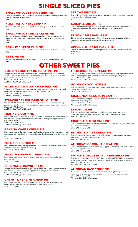# **SINGLE SLICED PIES**

### **SMALL WHOLE STRAWBERRY PIE**

Our fresh sweetened cream cheese and strawberries topped on our graham cracker crust, topped with whipped cream. 6.95

#### **SMALL WHOLE KEY LIME PIE**

Rich and delicious key lime pie topped with raspberry sauce and whipped cream. 6.95

# **SMALL WHOLE OREO® CRÈME PIE**

Rich and sweetened delicious cream cheese mixed with Oreo® cookie crumbs, topped on our homemade Oreo® cookie pie crust, topped with fresh whipped cream. 6.95

# **PEANUT BUTTER MUD PIE**

Our chocolate mud pie topped with rich peanut butter sauce and whipped cream. 3.95

#### **KEY LIME PIE**

Rich and delicious key lime pie topped with raspberry sauce and whipped cream. 3.25

# **OTHER SWEET PIES**

### **GOLDEN COUNTRY DUTCH APPLE PIE**

Two pounds of sliced fresh granny smith and fuji apples goes into our homemade cinnamon crisp pastry crust with apple cinnamon glaze, topped with our criss-cross pie crust and drizzled with apple cinnamon glaze. Slice…2.95 Whole…8.95

Ala Mode (Slice Only!)…0.25 extra!

# **WASHINGTON'S DUTCH CHERRY PIE**

Two pounds of fresh cherries goes into our homemade crisp sugar pastry crust with homemade cherry glaze, topped with our criss-cross pie crust. Slice…2.95 Whole…8.95 Ala Mode (Slice Only!)…0.25 extra!

# **STRAWBERRY RHUBARB DELIGHT PIE**

One pound of fresh strawberries and rhubarb goes into our homemade crisp sugar pastry crust with homemade strawberry glaze, topped with our sugar-glazed pie crust. Slice…3.25 Whole…9.25 Ala Mode (Slice Only!)…0.25 extra!

#### **FRUITYLICIOUS® PIE**

Fresh strawberries, cranberries, cherries, fuji apples, blackberries and blueberries goes into our crisp sugar pastry crust with our homemade berry glaze, topped with our sugar-glazed pie crust. Slice…3.95 Whole…9.95 Ala Mode (Slice Only!)…0.25 extra!

#### **BANANA WAFER CREAM PIE**

Fresh homemade vanilla cream mixed with fresh bananas and vanilla wafers, topped on our pecan crust, served cold with whipped cream, sliced bananas and vanilla wafers on top.

Slice…2.95 Whole…8.95

# **PUMPKIN CRUNCH PIE**

Fresh homemade pumpkin filling topped on our pecan crust, served cold with crushed candied walnuts and whipped cream on top. Slice…\$2.95 Whole…\$8.95

# **SMOOTH CARAMEL CHEWY PIE**

Fresh homemade smooth caramel filling topped on our pecan crust and whipped cream on top. Slice…3.25 Whole…9.25

#### **ORIGINAL STRAWBERRY PIE**

Two pounds of fresh strawberries goes into our homemade crisp sugar pastry crust with homemade strawberry glaze, topped with our sugar-glazed pie crust. Slice…2.75 Whole…8.75 Ala Mode (Slice Only!)…0.25 extra!

# **CHERRY & KEY LIME CREAM PIE**

Fresh homemade cherry compote topped on our pecan crust, layered with our homemade key lime filling, served cold with whipped cream on top. Slice…3.25 Whole…9.25

# **STRAWBERRY PIE**

Our fresh sweetened cream cheese and strawberries topped on our graham cracker crust, topped with whipped cream. 3.95

# **CARAMEL OREO® PIE**

Our homemade caramel pie topped on our graham cracker crust, with crumbled Oreo® cookie crumbs, and drizzled with caramel and chocolate sauces. 3.15

# **DUTCH APPLE RAISIN PIE**

Slice of our baked warm pie pastry filled with caramel cinnamon apples, raisins and nutmeg, served with our cinnamon vanilla ice cream scoop. 3.95

#### **APPLE, CHERRY OR PEACH PIE**

Choice of warm baked apple, cherry or peach pie and top your pie with vanilla ice cream scoop. 3.25

**FREDERICKSBURG PEACH PIE**

One pound of fresh sliced peaches goes into our homemade crisp sugar pastry crust with homemade peach glaze, topped with our criss-cross sugar pastry crust. Slice…2.95 Whole…8.95 Ala Mode (Slice Only!)…0.25 extra!

#### **GOOEY CHOCOLATE PIE**

Our homemade gooey chocolate filling topped in our homemade crisp pastry crust, topped with whipped cream. Slice…2.25 Whole…8.25

#### **GRANDMA'S CLASSIC PECAN PIE**

Our homemade candied pecans mixed with molasses and brown sugar, topped in our homemade crisp pastry crust. Slice…2.25 Whole…8.25 Ala Mode (Slice Only!)…0.25 extra!

#### **LEMONADE PIE**

Our homemade lemon cream filling topped on our pecan crust, layered with homemade lemon compote, topped with whipped cream and served cold. Slice…2.25 Whole…8.25

#### **CRUMBLE CHEESECAKE PIE**

Our homemade rich cheesecake filling topped on our pecan crust, topped with sweet cobbler crumbles and whipped cream. Slice…2.95 Whole…8.95

#### **PEANUT BUTTER CREAM PIE**

Our homemade rich peanut butter cream filling topped on our pecan crust, topped with peanut butter frosting and whipped cream. Slice…2.95 Whole…8.95

# **AMERICA'S COCONUT CREAM PIE**

Our homemade coconut vanilla cream filling topped on our pecan crust with coconut flakes and whipped cream. Slice…2.95 Whole…8.95

# **WORLD FAMOUS PEAR & CRANBERRY PIE**

One pound of sliced pears and dried cranberries mixed and filled with cranberry glaze in our homemade crisp sugar pastry pie crust, topped with our criss-cross pie crust. Slice…3.25 Whole…9.25 Ala Mode (Slice Only!)…0.25 extra!

# **AMERICAN RASPBERRY PIE**

Two pounds of fresh raspberries mixed and filled with raspberry glaze in our homemade crisp sugar pastry pie crust, topped with our criss-cross pie crust. Slice…2.95 Whole…8.95 Ala Mode (Slice Only!)…0.25 extra!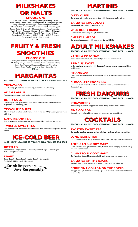# **MILKSHAKES OR MALTS**

#### **CHOOSE ONE**

Chocolate | Vanilla | Strawberry Banana | Strawberry | Peach Peach & Berry | Apple Vanilla | Banana | Banana & Berry | Pomegranate Orange Vanilla | Cinnamon Apple | Rocky Road | Buttered Pecan Chocolate Pecan | Peanut Butter | Peanut Butter & Strawberry Jelly Peanut Butter & Grape Jelly | Chocolate Banana | Apple Banana Berry Apple & Berry | Pineapple | Pineapple & Berry | Cherry & Pineapple Oreo® Cookies & Cream | Reese's® Peanut Butter & Cream Butterfinger® Chocolate | M&M's® Vanilla | M&M's® Chocolate Butterfinger® Vanilla | Cherry Vanilla 3.25 each!

# **FRUITY & FRESH SMOOTHIES**

**CHOOSE ONE** Pomegranate Strawberry | Strawberry Banana | Peach Pineapple

Blackberry Orange | Peanut Butter Strawberry | Chocolate Cherry Rocky Road Pineapple | Raspberry | Raspberry Chocolate Peanut Butter Raspberry | Cherry Lime | Cherry Lemon 3.95 each!



*ALCOHOLIC! I.D. MUST BE PRESENT! ONLY FOR AGES 21 & OVER!*

#### **TRINA'S® 3D**

Jack Daniels® splashed with Coca-Cola®, served frozen with cherry.

**ADAM'S APPLE**  Fuji apple juice splashed with vodka, served frozen with Fuji apple slice.

**BERRY GOLD** 

Original apple juice splashed with rum, vodka, served frozen with blackberries, raspberries and cranberry juice.

### **TEXAS LIME BURST**

Cherry limeade splashed with lemonade rum, vodka and V.O® whiskey, served frozen with lime.

**LONG ISLAND TEA**  Our unsweetened iced tea splashed with vodka and lemonade, served frozen.

# **TWISTED SWEET TEA**

Our southern-style sweetened iced tea splashed with vodka and orange juice, served frozen.

# **ICE-COLD BEER**

*ALCOHOLIC! I.D. MUST BE PRESENT! ONLY FOR AGES 21 & OVER!*

**BOTTLED**  Shiner Bock® | Ziegen Bock® | Corona® | Corona® Light | Coors® Light Miller Lite® | Heineken®

#### **DRAFT**

Shiner Bock® | Ziegen Bock® | Amber Bock® | Budweiser® Bud Light® | Miller Lite® | Heineken®

Drink Responsibly. Drive Responsibly.

# **MARTINIS**

*ALCOHOLIC! I.D. MUST BE PRESENT! ONLY FOR AGES 21 & OVER!*

# **DIRTY OLIVE**

Our original olive vodka juice served dirty with bleu cheese stuffed olives.

#### **BAILEY'S® CHOCOLATE**  Bailey's drink splashed with chocolate sauce.

**WILD BERRY BURST**  Our apple and cranberry juices splashed with vodka.

### **CHERRY LIMEADE**

Our cherry juice splashed with limeade and Corona® Light.

# **ADULT MILKSHAKES**

*ALCOHOLIC! I.D. MUST BE PRESENT! ONLY FOR AGES 21 & OVER!*

# **VANILLA CORONA®**

Vanilla ice cream swirled with Corona® light beer and caramel sauce.

#### **TRINA'S® TWIST**

Rocky road ice cream swirled with chocolate fudge and caramel sauces, and Shiner Bock® beer.

### **PINANILLA®**

Vanilla ice cream swirled with pineapple rum sauce, sliced pineapples and whipped cream.

#### **CHOCOLATE KNOCKIN'®**

Chocolate ice cream swirled with chocolate rum sauce, Guinness® dark beer and chocolate fudge.

# **FRESH DAIQUIRIS**

*ALCOHOLIC! I.D. MUST BE PRESENT! ONLY FOR AGES 21 & OVER!*

**STRAWBERRY** 

Strawberry juice, vodka, whipped cream and cherry on top, served frozen.

**PINA COLADA**  Pineapple rum, vodka, whipped cream and cherry on top, served frozen

# **COCKTAILS**

*ALCOHOLIC! I.D. MUST BE PRESENT! ONLY FOR AGES 21 & OVER!*

**TWISTED SWEET TEA**  Our southern-style sweetened iced tea splashed with Corona® and orange juice. **LONG ISLAND TEA** 

Our unsweetened iced tea splashed with vodka, Corona® Light beer and lemonade.

**AMERICAN BLOODY MARY**  Our V.8 tomato juice splashed with vodka, fresh squeezed orange juice, fresh celery and served on the rocks.

**CILANTRO BLOODY MARY**  Our American Bloody Mary splashed with fresh cilantro, served on the rocks.

**BAILEY'S® ON THE ROCKS**  Bailey's® drink poured on the rocks with chocolate and caramel sauces.

**BERRY PINA COLADA ON THE ROCKS** 

Pineapple juice splashed with Corona® Light beer, cherries, blackberries and served on the rocks.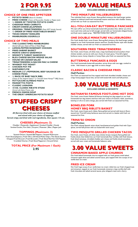

*EXCLUDES DRINKS & DESSERTS!*

# **CHOICE OF ONE FREE APPETIZER**

- **REEPOTATO SKINS** *(Bacon & Cheddar)*<br> **ERIED CHEESE** *(Choice of Mozzarella*)
- **FRIED CHEESE** *(Choice of Mozzarella, Cheddar or Pepper Jack)*
- *¥***<sub>2</sub> ORDER OF TWISTED POTATO CHIPS CHEDDAR FRIED CARROTS**
- 
- **CREAM CHEESE JALAPENOS**
- **ORIGINAL TRINATENDERS®** *(Does NOT Include Sauced) ¥***<sub>2</sub> ORDER OF FRIED VEGETABLES BASKET**
- **TEXAS ONION TANGLERS**
- **MANBURGER® EGGROLLS**

# **CHOICE OF TWO MEALS**

- **THE CLASSICTIME® MANBURGER®**
- *(Served with your choice of Fries or Onion Rings)* **LEMON-PEPPER ROSEMARY CHICKEN**
- **FRIED SHRIMP BASKET**
- 
- **EF MONTE CRISTO SANDWICH**<br>**EF SMOKEY'S TURKEY SANDWI SMOKEY'S TURKEY SANDWICH**
- **BLEU CHEESE BACON WEDGE SALAD**
- **ESP HOUSE OR CAESAR SALAD**
- **TRINATENDERS® & BACON MAC & CHEESE**
- **WHISKEY POT ROAST**
- **CHICKEN POT PIE**
- **IS SHEPHERD'S PIF**
- **MEDIUM (12") PEPPERONI, BEEF SAUSAGE OR CHEESE PIZZA**
- **½ RACK OF BABY BACK RIBS**
- *(Choice of The Original Classic™ or Trina's® Sweet Honeys™ BBQ Sauce)* **FETTUCCINI ALFREDO PASTA**
- 
- **ES MANGETTI® PASTA CLASSIC LASAGNA**
- **10 OZ. CLASSIC RIB-EYE STEAK**
- *(Served with Baked Potato only)*
- **FRENCH ONION SOUP**
- **THE GREAT AMERICAN POTATO SOUP**



*All flat-iron fried with your choice of cheeses stuffed and mixed with your choice of toppings. Served crispy and fried with real ingredients, then square 1/3 cut.*

# **CHEESES (Maximum: 3)**

Cheddar | Mozzarella | Applewood | Smoked Cheddar | Gouda Smoked Gouda | Port Salut | Gruyere | Muenster | Bleu | Pepper Jack

# **TOPPINGS (Maximum: 3)**

Sauteed Onions | Sauteed Bell Peppers | Sauteed Mushrooms Fresh Sliced Jalapenos | Fresh Okra | Dill Sliced Pickle Chips | Thin-Sliced Zucchini Chopped Fresh Broccoli | Fresh Broccolini | Fresh Sliced Red Hot Chili Peppers Crumbled Chorizo | Fresh Sliced Pepperoni | Ground Sirloin

**TOTAL PRICE (For Maximum 1 Each) 2.95**

# **2.00 VALUE MEALS**

*EXCLUDES DRINKS & DESSERTS!*

#### **TWO MINIATURE VALUEBURGERS®**

Two individual fresh, never-frozen, flame-grilled miniature thin beef burger patties topped on indiviual small fresh homemade sesame seed buns with cheddar cheese, served with our fresh cut seasoned hot fries.

# **ALL-YOU-CAN-EAT BUTTERMILK PANCAKES**

We start off for you three homemade buttermilk pancakes then, deliver you three more each time until you're full enough, served with our homemade whipped butter and fresh warm maple syrup. \*RESTRICTIONS MAY APPLY!\*

#### **ONE DOUBLE MINIATURE VALUEBURGER®**

Our fresh double fresh, never-frozen, flame-grilled miniature thin beef burger patties topped on our fresh homemade sesame seed bun, Double-Decker style with double cheddar cheese, served with our fresh cut seasoned hot fries.

### **SOUTHERN FRIED TRINATENDERS®**

Our fresh, never-frozen, all white meat, crispy hand-battered and southern fried chicken tenders, serves six with your choice of cream gravy, Trina's® original barbecue sauce, honey chipotle or honey Dijon, plus fresh cut seasoned hot fries.

# **BUTTERMILK PANCAKES & EGGS**

Our fresh homemade buttermilk pancakes, serves three with two eggs, cooked to order. Add cheese to your eggs with no extra charge!

# **CLASSIC BACON & CHEDDAR FRIES**

#### *Half Portion*

Our fresh cut seasoned hot fries topped with fresh shredded cheddar cheese and crispy honey-pepper bacon bits, served with buttermilk ranch and half portion.

**3.00 VALUE MEALS**

*EXCLUDES DRINKS & DESSERTS!*

# **NATHAN'S® FAMOUS FOOTLONG HOT DOG**

Our fresh, never-frozen Nathan's® famous footlong hot dog topped on our fresh homemade hot dog sesame seed bun with your choice of mustard, relish, sauerkraut, ketchup or all at no extra charge, plus served with fresh cut seasoned hot fries.

# **BONELESS PORK HONEY BBQ RIBLETS BASKET**

Our fresh, never-frozen pork riblets, flame-grilled and served with bone-in flavor, sauced into Trina's® honey barbecue sauce and served in a basket with fresh cut seasoned hot fries.

# **TRINA'S® ONION**

#### *Half Portion*

Our fresh colossal Spanish onion sliced, hand-battered and golden fried with Cajun spices, served half portion with our buttermilk ranch sauce.

# **TWO MESQUITE GRILLED CHICKEN TACOS**

Our fresh, never-frozen, all white meat chicken breast mesquite flame-grilled and freshly sliced, then folded into our fresh homemade flour tortillas with fresh lettuce, fresh diced tomatoes, shredded cheddar jack cheese and freshly sliced avocadoes, served with sour cream and homemade habanero salsa.

# **3.00 VALUE SWEETS**

#### **CINNAMON BAKED APPLE CHURROS**

Our fresh baked homemade churros topped with our fresh granny smith baked cinnamon apple slices and salted caramel sauce, plus topped with two scoops of our vanilla bean ice cream.

#### **FRIED ICE CREAM**

Our fresh huge scoop of our vanilla bean ice cream rolled into our fresh chopped nuts and cinnamon, topped on our fresh homemade cinnamon crispy tortilla shell with fresh chocolate and salted caramel sauces, plus whipped cream and a cherry.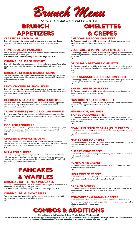*Brunch Menu*

# *SERVED 7:30 AM – 2:30 PM EVERYDAY!*

# **BRUNCH**

# **APPETIZERS**

#### **CLASSIC BRUNCH SKINS**

Our fresh cut potato skins topped with fresh seasoned scrambled eggs, cheddar cheese and fresh chorizo sausage, served with our chive garlic sour cream. 4.95

### **SILVER DOLLAR PANCAKES**

Four of our fresh griddled silver dollar-sized pancakes, served with berries, whipped butter and homemade maple syrup.

4.25 *Make it with Snicker's® candy or chocolate chips add…0.95!*

#### **ORIGINAL SAUSAGE BISCUIT**

Our fresh baked fluffy white biscuit topped with our fresh, never-frozen flame-grilled sausage patty, wider than the biscuit, served with our homemade maple syrup. 3.25

### **ORIGINAL CHICKEN BRUNCH SKINS**

Our fresh cut potato skins topped with fresh seasoned scrambled eggs, jack cheese, original fresh, never-frozen, hand-battered, golden fried diced chicken, served with chipotle honey Dijon sauce. 4.95

#### **SPICY CHICKEN BRUNCH SKINS**

Our fresh cut potato skins topped with fresh seasoned scrambled eggs, pepper jack cheese, original fresh, never-frozen, spicy battered, golden fried diced chicken, served with honey chipotle barbecue sauce. 5.25

# **CHEDDAR & SAUSAGE TRINATENDERS®**

Our fresh, never-frozen, hand-battered, golden fried chicken tenders topped with fresh chorizo sausage and cheddar cheese, served with buttermilk ranch sauce. 6 Count…6.95 8 Count…8.95

#### **TRINATENDERS® AND A DOLLAR WAFFLE**

Three fresh, never-frozen, hand-battered, golden fried chicken tenders, topped on one of our fresh homemade dollar-sized belgian waffle, served with fresh hot maple syrup.  $5.25$ 

#### **MORNING EGGROLLS**

Our fresh seasoned scrambled eggs with our creamy homemade cheddar queso, and crumbled chorizo sausage, rolled into our fresh made eggrolls, golden fried, served with chipotle avocado ranch sauce. 6.95

# **CHICKEN & WAFFLE SLIDERS**

Our fresh, never-frozen hand-battered, golden fried chicken breasts, sandwiched between two dollar sized belgian waffles, serves 2 count, with Trina's® fresh seasoned hot homemade brunch potatoes and side of fresh hot maple syrup. 8.25

#### **BLT & EGG SLIDERS**

Our fresh honey-peppered bacon strips topped on our fresh lettuce, sliced tomatoes with fried eggs sandwiched between our fresh homemade Texas toasted miniature Hawaiian rolls with our Swiss cheese and chipotle mayo, served with Trina's® fresh seasoned hot homemade brunch potatoes. 8.95



### **ORIGINAL BUTTERMILK PANCAKES**

Six of our homemade griddled buttermilk pancakes stacked together, served with our homemade hot maple syrup and whipped butter.

# 6.25 *Make it with Snicker's® candy or with chocolate chips add…0.95!*

#### **ORIGINAL BELGIAN WAFFLES**

Four of our homemade whole belgian waffles, stacked together, served warm with our homemade hot maple syrup and whipped butter. 6.25

# **OMELETTES & CREPES**

#### **CHEDDAR & BACON OMELETTE**

Our fresh eggs scrambled and folded in with our fresh cheddar cheese and honeypepper bacon bits, topped with sour cream and chives. 6.95

#### **VEGETABLE & PEPPER JACK OMELETTE**

Our fresh eggs scrambled and folded in with our fresh pepper jack cheese and fresh, never-frozen grilled broccoli, carrots and onions, topped with extra shredded pepper jack cheese. .<br>6.25

#### **ORIGINAL VEGETABLE OMELETTE**

Our fresh eggs scrambled and folded in with our fresh, never-frozen grilled broccoli, carrots, onions, tomatoes, and mushrooms, topped with our fresh homemade hot salsa. 5.25

#### **PORK SAUSAGE & CHEDDAR OMELETTE**

Our fresh eggs scrambled and folded in with our fresh, never-frozen grilled and sliced pork sausage and cheddar cheese, topped with sour cream and chives. 6.95

#### **THREE CHEESE OMELETTE**

Our fresh eggs scrambled and folded in with cheddar, pepper jack and mozzarella cheeses, topped with sour cream and chives. 5.25

### **MUSHROOM & JACK OMELETTE**

Our fresh eggs scrambled and folded in with our grilled and never-frozen mushrooms and jack cheese, topped with our homemade hot salsa. 6.25

#### **MUSHROOM, SAUSAGE & CHEDDAR OMELETTE**

Our fresh eggs scrambled and folded in with grilled and never-frozen mushrooms, sliced pork sausage, crumbled chorizo sausage and cheddar cheese, topped with sour cream and chives. 7.95

#### **PEANUT BUTTER CREAM & JELLY CREPES**

Our fresh homemade peanut butter cream and red raspberry jelly rolled into two of our fresh homemade crepes, fresh baked. 4.95

#### **MONTE CRISTO CREPES**

Our fresh red raspberry jelly, cheddar cheese, Swiss cheese, fresh smoked turkey and ham rolled into two of our fresh crepes, fresh baked. 5.25

#### **CHERRY WINE CREPES**

Our fresh red cherries, cherry wine puree and cherry cream rolled into two of our fresh crepes, fresh baked. 4.95

#### **PUMPKIN PIE CREPES**

Our fresh homemade pumpkin pie filling rolled into two of our fresh crepes with sweet cream cheese, fresh baked. 5.95

#### **IRISH COFFEE CREPES**

Our fresh homemade sweet Bailey's® coffee cream cheese rolled into two of our fresh crepes, drizzed with margarita lime glaze, fresh baked. 6.95

#### **KEY LIME CREPES**

Our fresh homemade key lime pie filling rolled into two of our fresh crepes, drizzled with red raspberry puree and margarita lime glaze, fresh baked. 6.25

#### **STRAWBERRY & BANANA CREPES**

Our fresh stemless whole strawberries and fresh sliced bananas rolled with our strawberry puree into two our fresh crepes, drizzled with our strawberry puree, fresh baked and topped with whipped cream. 6.95

# **COMBOS & ADDITIONS**

**Three Buttermilk Pancakes & Two Whole Belgian Waffles…6.25 Add our Fresh Seasoned Scrambled Eggs, Honey-Pepper Bacon Strips or Never-frozen Flame-grilled Sausage Links and Trina's® Fresh Seasoned Hot Homemade Brunch Potatoes to Pancake & Waffle dish add…1.25!**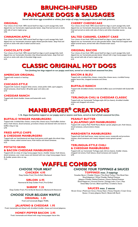# **BRUNCH-INFUSED PANCAKE DOGS & SAUSAGES**

*Served with three eggs scrambled or whites, four strips of crispy honey-pepper bacon and hash potatoes.*

# **ORIGINAL**

Your choice of two fresh 100% natural beef hot dogs or pork sausage links, both dipped into our homemade original pancake batter, deep fried and served on sticks with side of warm maple syrup. 5.95

# **CINNAMON APPLE**

Your choice of two fresh 100% natural beef hot dogs or pork sausage links, both dipped into our homemade cinnamon apple infused pancake batter, deep fried and served on sticks with side of salted caramel sauce. 6.25

# **CHOCOLATE CHIP**

Your choice of two fresh 100% natural beef hot dogs or pork sausage links, both dipped into our homemade chocolate chip infused pancake batter, deep fried and served on sticks with side of chocolate fudge sauce. 6.25

# **CHERRY CHEESECAKE**

Your choice of two fresh 100% natural beef hot dogs or pork sausage links, both dipped into our homemade cheesecake pancake batter infused with cherries, deep fried and served on sticks with side of cherry and white chocolate sauces. 6.95

# **SALTED CARAMEL CARROT CAKE**

Your choice of two fresh 100% natural beef hot dogs or pork sausage links, both dipped into our homemade carrot cake pancake batter, deep fried and topped with salted caramel sauce, served with side of buttercream sauce. 6.95

# **ORIGINAL BACON**

Your choice of two fresh 100% natural beef hot dogs or pork sausage links, both dipped into our homemade pancake batter infused with crispy honey-pepper bacon bits, served with side of warm maple syrup. 6.25

# **CLASSIC ORIGINAL HOT DOGS**

*Two footlong hot dogs topped on our poppy seed buns, served on a bed of fresh seasoned hot fries.*

# **AMERICAN ORIGINAL**

Topped with mustard or ketchup. 4.95

# **CHICAGO-STYLE**

Topped with mustard, chopped white onions, sweet pickle relish, sport peppers, sliced tomaotes, sliced kosher dill pickle spear and celery salt. 6.75

### **CHEDDAR RANCH**

Topped with sliced cheddar cheese and buttermilk ranch. 5.25

#### **BACON & BLEU**

Topped with crumbled bleu cheese, creamy bleu cheese sauce, crumbled honeypepper bacon bits, chopped tomatoes and chives. 5.95

#### **BUFFALO RANCH**

**PEANUT BUTTER**

Topped with shredded chicken, homemade buffalo sauce and drizzled with buttermilk ranch. 6.25

# **TERLINGUA CHILI & CHEDDAR CLASSIC**

Topped with our homemade Terlingua-style chili (no beans), shredded cheddar cheese and chopped red onions. 6.95

# **MANBURGER® CREATIONS**

*½ lb. Angus beef patties topped on our poppy seed or sesame seed buns, served on bed of fresh seasoned hot fries.*

# **BUFFALO WINGER MANBURGER®**

Topped with crumbled bleu cheese, creamy bleu cheese sauce, fried buffalo chicken slices, fresh lettuce, sliced tomatoes, provolone cheese and skewed with one bone-in buffalo wing on top. 6.95

### **FRIED APPLE CHIPS & CHEDDAR MANBURGER®**

Topped with our hand-battered and deep fried granny smith apple thin-sliced chips, cheddar cheese, salted caramel sauce, fresh lettuce and sliced tomatoes. 6.25

# **POTATO SKINS**

#### **& BACON CHEDDAR MANBURGER®**

Topped with six strips of crispy honey-pepper bacon, cheddar cheese, fresh lettuce, sliced tomatoes, sour cream sauce and skewed with two crispy honey-pepper bacon & cheddar potato skins on top. 7.25

# **WAFFLE COMBOS**

# *CHOOSE YOUR MEAT*

#### **CHICKEN 4.95**

Deep Golden Fried | Fire-Grilled | Blackened

**SIRLOIN 6.95**

Hammered & Deep Golden Fried | Fire-Grilled

### **SHRIMP 7.25**

Deep Golden Fried | Fire-Grilled & Skewered | Blackened & Skewered

# *CHOOSE YOUR BELGIAN WAFFLE*

**ORIGINAL 1.25**

# Fresh and homemade Belgian Waffle.

**JALAPENO & CHEDDAR 1.95** Fresh, homemade and infused with shredded cheddar cheese and minced jalapenos.

# **HONEY-PEPPER BACON 2.95**

Fresh, homemade and infused with crispy honey-pepper bacon bits.

#### sliced tomatoes, and provolone cheese. 6.25

**& JALAPENO JAM MANBURGER®**

#### **MARGHERITA MANBURGER®**

Topped with fresh basil leaves, meaty marinara sauce, mozzarella and provolone cheeses, sliced tomatoes and creamy whipped ricotta spinach spread. 6.25

Topped with creamy Peter Pan® Peanut Butter spread, jalapeno jam, fresh lettuce,

### **TERLINGUA-STYLE CHILI & CHEDDAR MANBURGER®**

Topped with our homemade Terlingua-style chili (no beans), cheddar cheese, chopped red onions, fresh lettuce, sliced tomatoes and mustard. 6.95



# *CHOOSE YOUR TOPPINGS & SAUCES*

# **TOPPINGS** *max. 3 toppings*

Canadian Bacon | Cheddar Cheese | Thin-Sliced Turkey | Thin-Sliced Ham Sliced Jalapenos | White Cheddar Mashed Potatoes Jalapeno Cheddar Mashed Potatoes | Queso Mashed Potatoes Sliced Pepperoni | Ground Chorizo | Sausage Links | Corn | Peas Sweet Baby Carrots | Black-eyed Peas | Cranberry Sauce

#### **SAUCES** *max. 2 sauces*

Brown Gravy | Mushroom Gravy | Honey Dijon | Honey Chipotle | Cream Gravy Queso | Creamy Jalapeno Ranch | Buttermilk Ranch